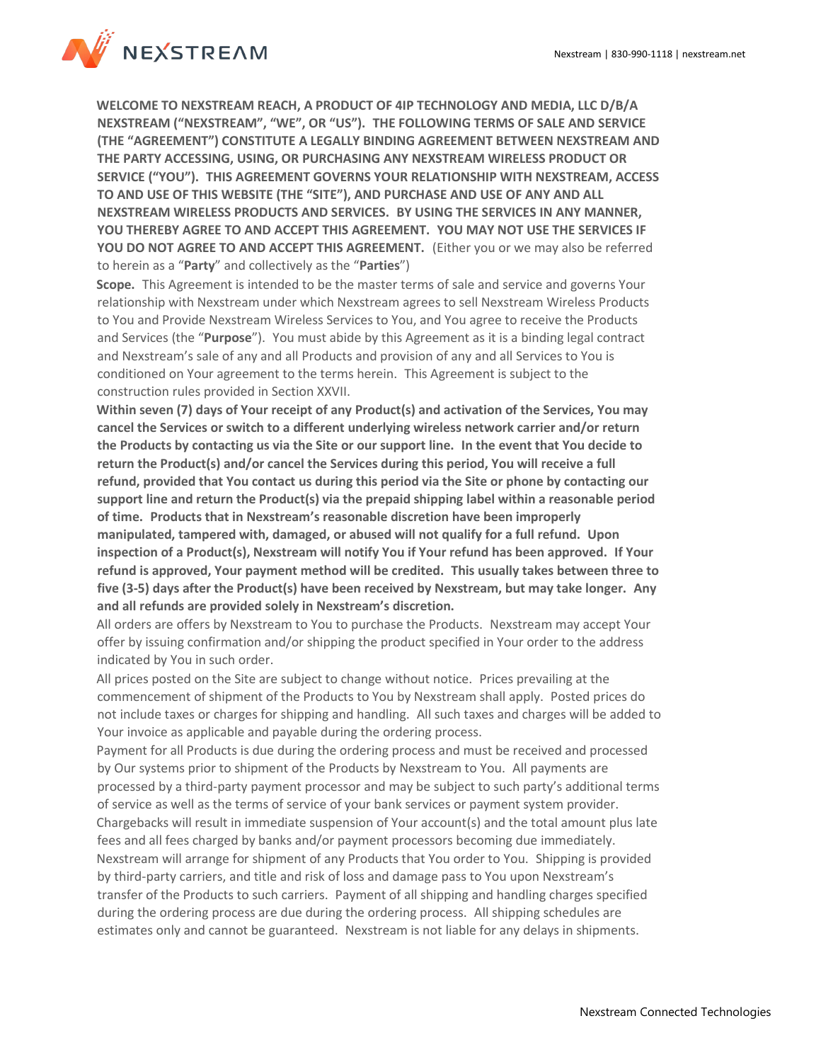

**WELCOME TO NEXSTREAM REACH, A PRODUCT OF 4IP TECHNOLOGY AND MEDIA, LLC D/B/A NEXSTREAM ("NEXSTREAM", "WE", OR "US"). THE FOLLOWING TERMS OF SALE AND SERVICE (THE "AGREEMENT") CONSTITUTE A LEGALLY BINDING AGREEMENT BETWEEN NEXSTREAM AND THE PARTY ACCESSING, USING, OR PURCHASING ANY NEXSTREAM WIRELESS PRODUCT OR SERVICE ("YOU"). THIS AGREEMENT GOVERNS YOUR RELATIONSHIP WITH NEXSTREAM, ACCESS TO AND USE OF THIS WEBSITE (THE "SITE"), AND PURCHASE AND USE OF ANY AND ALL NEXSTREAM WIRELESS PRODUCTS AND SERVICES. BY USING THE SERVICES IN ANY MANNER, YOU THEREBY AGREE TO AND ACCEPT THIS AGREEMENT. YOU MAY NOT USE THE SERVICES IF YOU DO NOT AGREE TO AND ACCEPT THIS AGREEMENT.** (Either you or we may also be referred to herein as a "**Party**" and collectively as the "**Parties**")

**Scope.** This Agreement is intended to be the master terms of sale and service and governs Your relationship with Nexstream under which Nexstream agrees to sell Nexstream Wireless Products to You and Provide Nexstream Wireless Services to You, and You agree to receive the Products and Services (the "**Purpose**"). You must abide by this Agreement as it is a binding legal contract and Nexstream's sale of any and all Products and provision of any and all Services to You is conditioned on Your agreement to the terms herein. This Agreement is subject to the construction rules provided in Section XXVII.

**Within seven (7) days of Your receipt of any Product(s) and activation of the Services, You may cancel the Services or switch to a different underlying wireless network carrier and/or return the Products by contacting us via the Site or our support line. In the event that You decide to return the Product(s) and/or cancel the Services during this period, You will receive a full refund, provided that You contact us during this period via the Site or phone by contacting our support line and return the Product(s) via the prepaid shipping label within a reasonable period of time. Products that in Nexstream's reasonable discretion have been improperly manipulated, tampered with, damaged, or abused will not qualify for a full refund. Upon inspection of a Product(s), Nexstream will notify You if Your refund has been approved. If Your refund is approved, Your payment method will be credited. This usually takes between three to five (3-5) days after the Product(s) have been received by Nexstream, but may take longer. Any and all refunds are provided solely in Nexstream's discretion.**

All orders are offers by Nexstream to You to purchase the Products. Nexstream may accept Your offer by issuing confirmation and/or shipping the product specified in Your order to the address indicated by You in such order.

All prices posted on the Site are subject to change without notice. Prices prevailing at the commencement of shipment of the Products to You by Nexstream shall apply. Posted prices do not include taxes or charges for shipping and handling. All such taxes and charges will be added to Your invoice as applicable and payable during the ordering process.

Payment for all Products is due during the ordering process and must be received and processed by Our systems prior to shipment of the Products by Nexstream to You. All payments are processed by a third-party payment processor and may be subject to such party's additional terms of service as well as the terms of service of your bank services or payment system provider. Chargebacks will result in immediate suspension of Your account(s) and the total amount plus late fees and all fees charged by banks and/or payment processors becoming due immediately. Nexstream will arrange for shipment of any Products that You order to You. Shipping is provided by third-party carriers, and title and risk of loss and damage pass to You upon Nexstream's transfer of the Products to such carriers. Payment of all shipping and handling charges specified during the ordering process are due during the ordering process. All shipping schedules are

estimates only and cannot be guaranteed. Nexstream is not liable for any delays in shipments.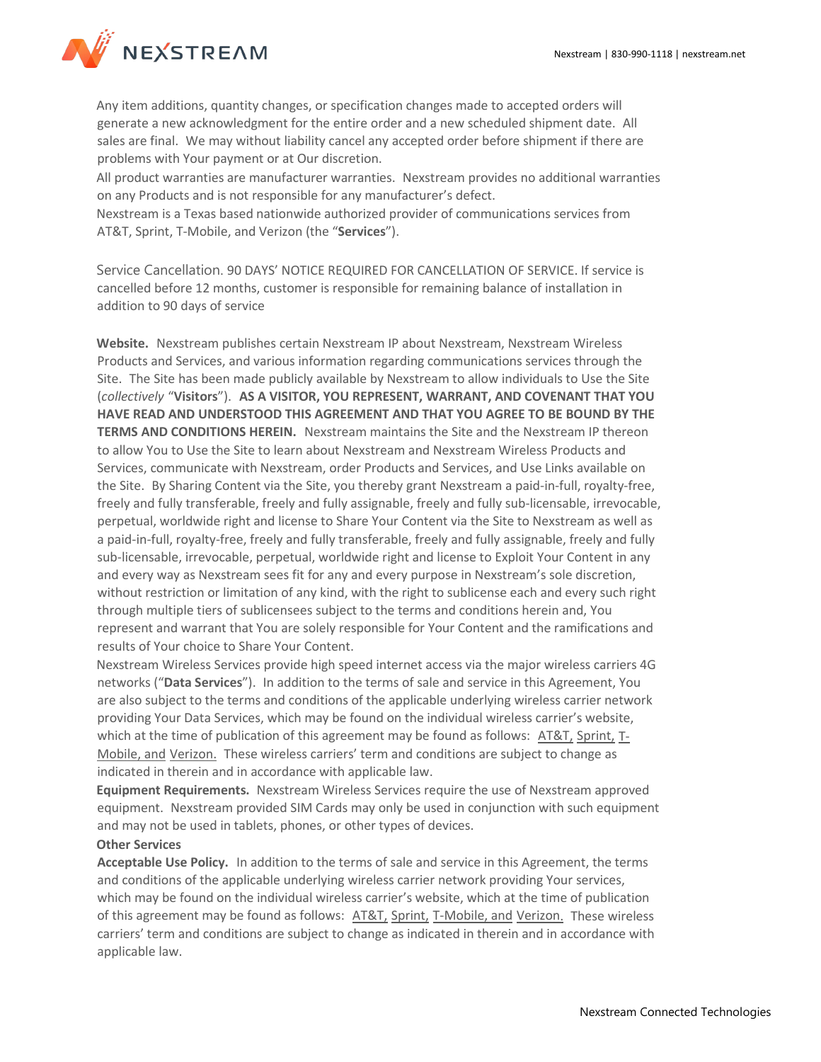

Any item additions, quantity changes, or specification changes made to accepted orders will generate a new acknowledgment for the entire order and a new scheduled shipment date. All sales are final. We may without liability cancel any accepted order before shipment if there are problems with Your payment or at Our discretion.

All product warranties are manufacturer warranties. Nexstream provides no additional warranties on any Products and is not responsible for any manufacturer's defect.

Nexstream is a Texas based nationwide authorized provider of communications services from AT&T, Sprint, T-Mobile, and Verizon (the "**Services**").

Service Cancellation. 90 DAYS' NOTICE REQUIRED FOR CANCELLATION OF SERVICE. If service is cancelled before 12 months, customer is responsible for remaining balance of installation in addition to 90 days of service

**Website.** Nexstream publishes certain Nexstream IP about Nexstream, Nexstream Wireless Products and Services, and various information regarding communications services through the Site. The Site has been made publicly available by Nexstream to allow individuals to Use the Site (*collectively* "**Visitors**"). **AS A VISITOR, YOU REPRESENT, WARRANT, AND COVENANT THAT YOU HAVE READ AND UNDERSTOOD THIS AGREEMENT AND THAT YOU AGREE TO BE BOUND BY THE TERMS AND CONDITIONS HEREIN.** Nexstream maintains the Site and the Nexstream IP thereon to allow You to Use the Site to learn about Nexstream and Nexstream Wireless Products and Services, communicate with Nexstream, order Products and Services, and Use Links available on the Site. By Sharing Content via the Site, you thereby grant Nexstream a paid-in-full, royalty-free, freely and fully transferable, freely and fully assignable, freely and fully sub-licensable, irrevocable, perpetual, worldwide right and license to Share Your Content via the Site to Nexstream as well as a paid-in-full, royalty-free, freely and fully transferable, freely and fully assignable, freely and fully sub-licensable, irrevocable, perpetual, worldwide right and license to Exploit Your Content in any and every way as Nexstream sees fit for any and every purpose in Nexstream's sole discretion, without restriction or limitation of any kind, with the right to sublicense each and every such right through multiple tiers of sublicensees subject to the terms and conditions herein and, You represent and warrant that You are solely responsible for Your Content and the ramifications and results of Your choice to Share Your Content.

Nexstream Wireless Services provide high speed internet access via the major wireless carriers 4G networks ("**Data Services**"). In addition to the terms of sale and service in this Agreement, You are also subject to the terms and conditions of the applicable underlying wireless carrier network providing Your Data Services, which may be found on the individual wireless carrier's website, which at the time of publication of this agreement may be found as follows: [AT&T,](https://www.att.com/legal/legal-policy-center.html) [Sprint,](https://www.sprint.com/en/legal/terms-and-conditions) [T-](https://www.t-mobile.com/responsibility/legal/terms-and-conditions)[Mobile,](https://www.t-mobile.com/responsibility/legal/terms-and-conditions) and [Verizon.](https://www.verizonwireless.com/legal/notices/customer-agreement/) These wireless carriers' term and conditions are subject to change as indicated in therein and in accordance with applicable law.

**Equipment Requirements.** Nexstream Wireless Services require the use of Nexstream approved equipment. Nexstream provided SIM Cards may only be used in conjunction with such equipment and may not be used in tablets, phones, or other types of devices.

# **Other Services**

**Acceptable Use Policy.** In addition to the terms of sale and service in this Agreement, the terms and conditions of the applicable underlying wireless carrier network providing Your services, which may be found on the individual wireless carrier's website, which at the time of publication of this agreement may be found as follows: [AT&T,](https://www.att.com/legal/legal-policy-center.html) [Sprint,](https://www.sprint.com/en/legal/acceptable-use-policy.html) [T-Mobile,](https://www.t-mobile.com/responsibility/consumer-info/policies/internet-service) and [Verizon.](https://www.verizon.com/about/terms-conditions/acceptable-use-policy) These wireless carriers' term and conditions are subject to change as indicated in therein and in accordance with applicable law.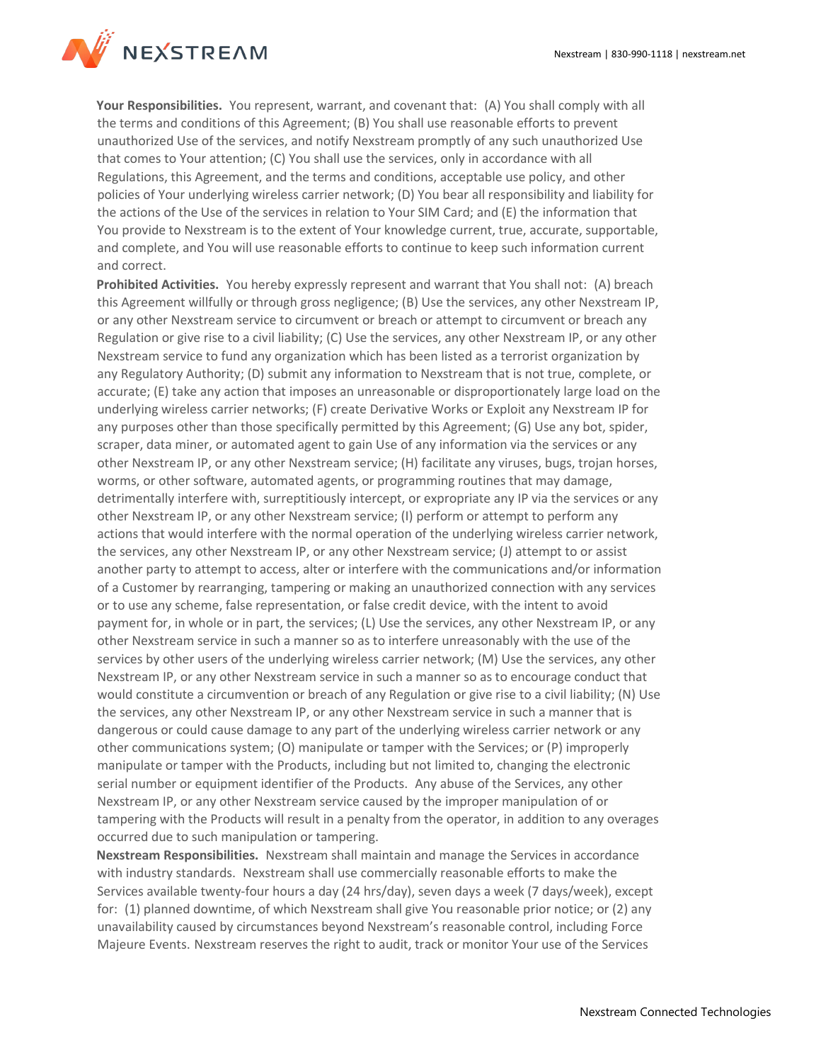

**Your Responsibilities.** You represent, warrant, and covenant that: (A) You shall comply with all the terms and conditions of this Agreement; (B) You shall use reasonable efforts to prevent unauthorized Use of the services, and notify Nexstream promptly of any such unauthorized Use that comes to Your attention; (C) You shall use the services, only in accordance with all Regulations, this Agreement, and the terms and conditions, acceptable use policy, and other policies of Your underlying wireless carrier network; (D) You bear all responsibility and liability for the actions of the Use of the services in relation to Your SIM Card; and (E) the information that You provide to Nexstream is to the extent of Your knowledge current, true, accurate, supportable, and complete, and You will use reasonable efforts to continue to keep such information current and correct.

**Prohibited Activities.** You hereby expressly represent and warrant that You shall not: (A) breach this Agreement willfully or through gross negligence; (B) Use the services, any other Nexstream IP, or any other Nexstream service to circumvent or breach or attempt to circumvent or breach any Regulation or give rise to a civil liability; (C) Use the services, any other Nexstream IP, or any other Nexstream service to fund any organization which has been listed as a terrorist organization by any Regulatory Authority; (D) submit any information to Nexstream that is not true, complete, or accurate; (E) take any action that imposes an unreasonable or disproportionately large load on the underlying wireless carrier networks; (F) create Derivative Works or Exploit any Nexstream IP for any purposes other than those specifically permitted by this Agreement; (G) Use any bot, spider, scraper, data miner, or automated agent to gain Use of any information via the services or any other Nexstream IP, or any other Nexstream service; (H) facilitate any viruses, bugs, trojan horses, worms, or other software, automated agents, or programming routines that may damage, detrimentally interfere with, surreptitiously intercept, or expropriate any IP via the services or any other Nexstream IP, or any other Nexstream service; (I) perform or attempt to perform any actions that would interfere with the normal operation of the underlying wireless carrier network, the services, any other Nexstream IP, or any other Nexstream service; (J) attempt to or assist another party to attempt to access, alter or interfere with the communications and/or information of a Customer by rearranging, tampering or making an unauthorized connection with any services or to use any scheme, false representation, or false credit device, with the intent to avoid payment for, in whole or in part, the services; (L) Use the services, any other Nexstream IP, or any other Nexstream service in such a manner so as to interfere unreasonably with the use of the services by other users of the underlying wireless carrier network; (M) Use the services, any other Nexstream IP, or any other Nexstream service in such a manner so as to encourage conduct that would constitute a circumvention or breach of any Regulation or give rise to a civil liability; (N) Use the services, any other Nexstream IP, or any other Nexstream service in such a manner that is dangerous or could cause damage to any part of the underlying wireless carrier network or any other communications system; (O) manipulate or tamper with the Services; or (P) improperly manipulate or tamper with the Products, including but not limited to, changing the electronic serial number or equipment identifier of the Products. Any abuse of the Services, any other Nexstream IP, or any other Nexstream service caused by the improper manipulation of or tampering with the Products will result in a penalty from the operator, in addition to any overages occurred due to such manipulation or tampering.

**Nexstream Responsibilities.** Nexstream shall maintain and manage the Services in accordance with industry standards. Nexstream shall use commercially reasonable efforts to make the Services available twenty-four hours a day (24 hrs/day), seven days a week (7 days/week), except for: (1) planned downtime, of which Nexstream shall give You reasonable prior notice; or (2) any unavailability caused by circumstances beyond Nexstream's reasonable control, including Force Majeure Events. Nexstream reserves the right to audit, track or monitor Your use of the Services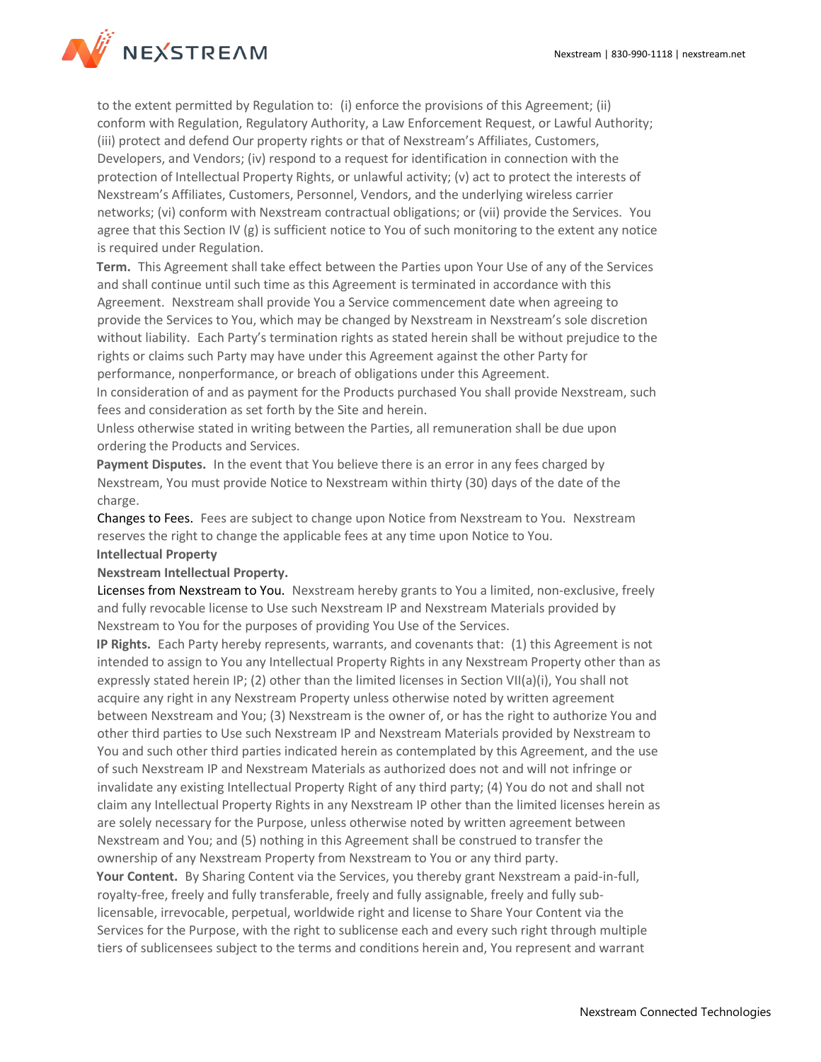

to the extent permitted by Regulation to: (i) enforce the provisions of this Agreement; (ii) conform with Regulation, Regulatory Authority, a Law Enforcement Request, or Lawful Authority; (iii) protect and defend Our property rights or that of Nexstream's Affiliates, Customers, Developers, and Vendors; (iv) respond to a request for identification in connection with the protection of Intellectual Property Rights, or unlawful activity; (v) act to protect the interests of Nexstream's Affiliates, Customers, Personnel, Vendors, and the underlying wireless carrier networks; (vi) conform with Nexstream contractual obligations; or (vii) provide the Services. You agree that this Section IV (g) is sufficient notice to You of such monitoring to the extent any notice is required under Regulation.

**Term.** This Agreement shall take effect between the Parties upon Your Use of any of the Services and shall continue until such time as this Agreement is terminated in accordance with this Agreement. Nexstream shall provide You a Service commencement date when agreeing to provide the Services to You, which may be changed by Nexstream in Nexstream's sole discretion without liability. Each Party's termination rights as stated herein shall be without prejudice to the rights or claims such Party may have under this Agreement against the other Party for performance, nonperformance, or breach of obligations under this Agreement. In consideration of and as payment for the Products purchased You shall provide Nexstream, such

fees and consideration as set forth by the Site and herein. Unless otherwise stated in writing between the Parties, all remuneration shall be due upon

ordering the Products and Services.

**Payment Disputes.** In the event that You believe there is an error in any fees charged by Nexstream, You must provide Notice to Nexstream within thirty (30) days of the date of the charge.

Changes to Fees. Fees are subject to change upon Notice from Nexstream to You. Nexstream reserves the right to change the applicable fees at any time upon Notice to You.

# **Intellectual Property**

# **Nexstream Intellectual Property.**

Licenses from Nexstream to You. Nexstream hereby grants to You a limited, non-exclusive, freely and fully revocable license to Use such Nexstream IP and Nexstream Materials provided by Nexstream to You for the purposes of providing You Use of the Services.

**IP Rights.** Each Party hereby represents, warrants, and covenants that: (1) this Agreement is not intended to assign to You any Intellectual Property Rights in any Nexstream Property other than as expressly stated herein IP; (2) other than the limited licenses in Section VII(a)(i), You shall not acquire any right in any Nexstream Property unless otherwise noted by written agreement between Nexstream and You; (3) Nexstream is the owner of, or has the right to authorize You and other third parties to Use such Nexstream IP and Nexstream Materials provided by Nexstream to You and such other third parties indicated herein as contemplated by this Agreement, and the use of such Nexstream IP and Nexstream Materials as authorized does not and will not infringe or invalidate any existing Intellectual Property Right of any third party; (4) You do not and shall not claim any Intellectual Property Rights in any Nexstream IP other than the limited licenses herein as are solely necessary for the Purpose, unless otherwise noted by written agreement between Nexstream and You; and (5) nothing in this Agreement shall be construed to transfer the ownership of any Nexstream Property from Nexstream to You or any third party. **Your Content.** By Sharing Content via the Services, you thereby grant Nexstream a paid-in-full, royalty-free, freely and fully transferable, freely and fully assignable, freely and fully sublicensable, irrevocable, perpetual, worldwide right and license to Share Your Content via the Services for the Purpose, with the right to sublicense each and every such right through multiple tiers of sublicensees subject to the terms and conditions herein and, You represent and warrant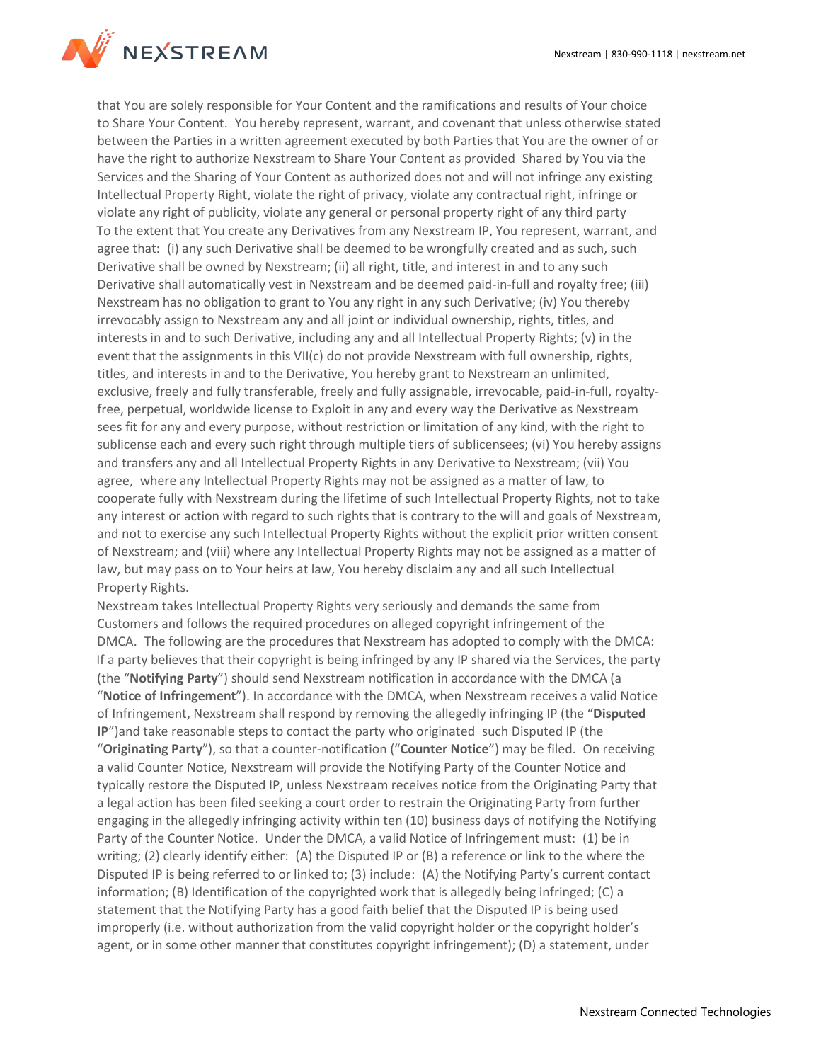

that You are solely responsible for Your Content and the ramifications and results of Your choice to Share Your Content. You hereby represent, warrant, and covenant that unless otherwise stated between the Parties in a written agreement executed by both Parties that You are the owner of or have the right to authorize Nexstream to Share Your Content as provided Shared by You via the Services and the Sharing of Your Content as authorized does not and will not infringe any existing Intellectual Property Right, violate the right of privacy, violate any contractual right, infringe or violate any right of publicity, violate any general or personal property right of any third party To the extent that You create any Derivatives from any Nexstream IP, You represent, warrant, and agree that: (i) any such Derivative shall be deemed to be wrongfully created and as such, such Derivative shall be owned by Nexstream; (ii) all right, title, and interest in and to any such Derivative shall automatically vest in Nexstream and be deemed paid-in-full and royalty free; (iii) Nexstream has no obligation to grant to You any right in any such Derivative; (iv) You thereby irrevocably assign to Nexstream any and all joint or individual ownership, rights, titles, and interests in and to such Derivative, including any and all Intellectual Property Rights; (v) in the event that the assignments in this VII(c) do not provide Nexstream with full ownership, rights, titles, and interests in and to the Derivative, You hereby grant to Nexstream an unlimited, exclusive, freely and fully transferable, freely and fully assignable, irrevocable, paid-in-full, royaltyfree, perpetual, worldwide license to Exploit in any and every way the Derivative as Nexstream sees fit for any and every purpose, without restriction or limitation of any kind, with the right to sublicense each and every such right through multiple tiers of sublicensees; (vi) You hereby assigns and transfers any and all Intellectual Property Rights in any Derivative to Nexstream; (vii) You agree, where any Intellectual Property Rights may not be assigned as a matter of law, to cooperate fully with Nexstream during the lifetime of such Intellectual Property Rights, not to take any interest or action with regard to such rights that is contrary to the will and goals of Nexstream, and not to exercise any such Intellectual Property Rights without the explicit prior written consent of Nexstream; and (viii) where any Intellectual Property Rights may not be assigned as a matter of law, but may pass on to Your heirs at law, You hereby disclaim any and all such Intellectual Property Rights.

Nexstream takes Intellectual Property Rights very seriously and demands the same from Customers and follows the required procedures on alleged copyright infringement of the DMCA. The following are the procedures that Nexstream has adopted to comply with the DMCA: If a party believes that their copyright is being infringed by any IP shared via the Services, the party (the "**Notifying Party**") should send Nexstream notification in accordance with the DMCA (a "**Notice of Infringement**"). In accordance with the DMCA, when Nexstream receives a valid Notice of Infringement, Nexstream shall respond by removing the allegedly infringing IP (the "**Disputed IP**")and take reasonable steps to contact the party who originated such Disputed IP (the "**Originating Party**"), so that a counter-notification ("**Counter Notice**") may be filed. On receiving a valid Counter Notice, Nexstream will provide the Notifying Party of the Counter Notice and typically restore the Disputed IP, unless Nexstream receives notice from the Originating Party that a legal action has been filed seeking a court order to restrain the Originating Party from further engaging in the allegedly infringing activity within ten (10) business days of notifying the Notifying Party of the Counter Notice. Under the DMCA, a valid Notice of Infringement must: (1) be in writing; (2) clearly identify either: (A) the Disputed IP or (B) a reference or link to the where the Disputed IP is being referred to or linked to; (3) include: (A) the Notifying Party's current contact information; (B) Identification of the copyrighted work that is allegedly being infringed; (C) a statement that the Notifying Party has a good faith belief that the Disputed IP is being used improperly (i.e. without authorization from the valid copyright holder or the copyright holder's agent, or in some other manner that constitutes copyright infringement); (D) a statement, under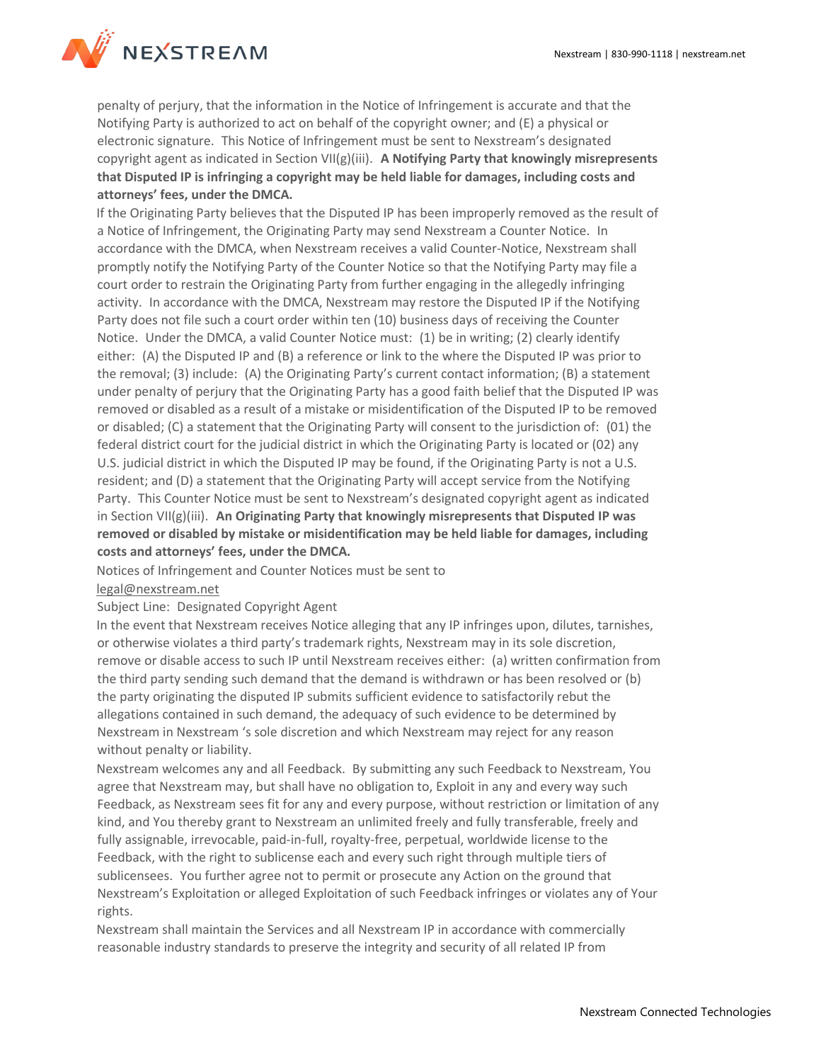

penalty of perjury, that the information in the Notice of Infringement is accurate and that the Notifying Party is authorized to act on behalf of the copyright owner; and (E) a physical or electronic signature. This Notice of Infringement must be sent to Nexstream's designated copyright agent as indicated in Section VII(g)(iii). **A Notifying Party that knowingly misrepresents that Disputed IP is infringing a copyright may be held liable for damages, including costs and attorneys' fees, under the DMCA.**

If the Originating Party believes that the Disputed IP has been improperly removed as the result of a Notice of Infringement, the Originating Party may send Nexstream a Counter Notice. In accordance with the DMCA, when Nexstream receives a valid Counter-Notice, Nexstream shall promptly notify the Notifying Party of the Counter Notice so that the Notifying Party may file a court order to restrain the Originating Party from further engaging in the allegedly infringing activity. In accordance with the DMCA, Nexstream may restore the Disputed IP if the Notifying Party does not file such a court order within ten (10) business days of receiving the Counter Notice. Under the DMCA, a valid Counter Notice must: (1) be in writing; (2) clearly identify either: (A) the Disputed IP and (B) a reference or link to the where the Disputed IP was prior to the removal; (3) include: (A) the Originating Party's current contact information; (B) a statement under penalty of perjury that the Originating Party has a good faith belief that the Disputed IP was removed or disabled as a result of a mistake or misidentification of the Disputed IP to be removed or disabled; (C) a statement that the Originating Party will consent to the jurisdiction of: (01) the federal district court for the judicial district in which the Originating Party is located or (02) any U.S. judicial district in which the Disputed IP may be found, if the Originating Party is not a U.S. resident; and (D) a statement that the Originating Party will accept service from the Notifying Party. This Counter Notice must be sent to Nexstream's designated copyright agent as indicated in Section VII(g)(iii). **An Originating Party that knowingly misrepresents that Disputed IP was removed or disabled by mistake or misidentification may be held liable for damages, including costs and attorneys' fees, under the DMCA.**

Notices of Infringement and Counter Notices must be sent to

# [legal@nexstream.net](mailto:legal@nexstream.net)

#### Subject Line: Designated Copyright Agent

In the event that Nexstream receives Notice alleging that any IP infringes upon, dilutes, tarnishes, or otherwise violates a third party's trademark rights, Nexstream may in its sole discretion, remove or disable access to such IP until Nexstream receives either: (a) written confirmation from the third party sending such demand that the demand is withdrawn or has been resolved or (b) the party originating the disputed IP submits sufficient evidence to satisfactorily rebut the allegations contained in such demand, the adequacy of such evidence to be determined by Nexstream in Nexstream 's sole discretion and which Nexstream may reject for any reason without penalty or liability.

Nexstream welcomes any and all Feedback. By submitting any such Feedback to Nexstream, You agree that Nexstream may, but shall have no obligation to, Exploit in any and every way such Feedback, as Nexstream sees fit for any and every purpose, without restriction or limitation of any kind, and You thereby grant to Nexstream an unlimited freely and fully transferable, freely and fully assignable, irrevocable, paid-in-full, royalty-free, perpetual, worldwide license to the Feedback, with the right to sublicense each and every such right through multiple tiers of sublicensees. You further agree not to permit or prosecute any Action on the ground that Nexstream's Exploitation or alleged Exploitation of such Feedback infringes or violates any of Your rights.

Nexstream shall maintain the Services and all Nexstream IP in accordance with commercially reasonable industry standards to preserve the integrity and security of all related IP from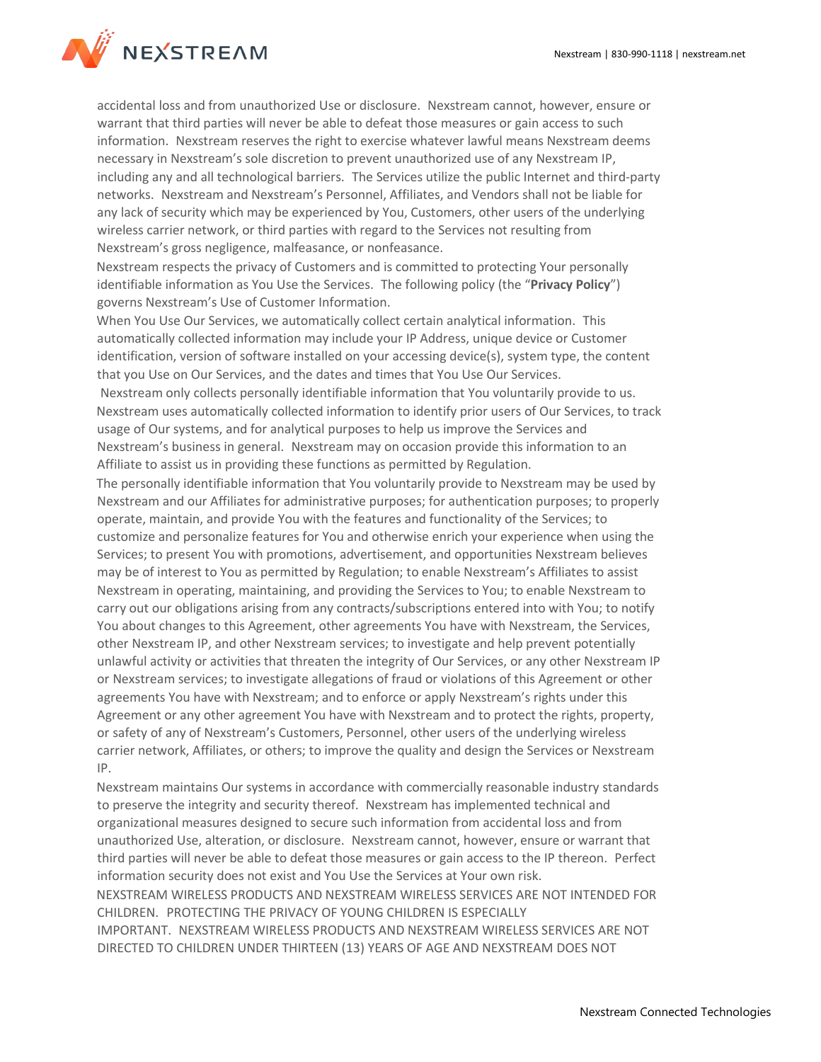

accidental loss and from unauthorized Use or disclosure. Nexstream cannot, however, ensure or warrant that third parties will never be able to defeat those measures or gain access to such information. Nexstream reserves the right to exercise whatever lawful means Nexstream deems necessary in Nexstream's sole discretion to prevent unauthorized use of any Nexstream IP, including any and all technological barriers. The Services utilize the public Internet and third-party networks. Nexstream and Nexstream's Personnel, Affiliates, and Vendors shall not be liable for any lack of security which may be experienced by You, Customers, other users of the underlying wireless carrier network, or third parties with regard to the Services not resulting from Nexstream's gross negligence, malfeasance, or nonfeasance.

Nexstream respects the privacy of Customers and is committed to protecting Your personally identifiable information as You Use the Services. The following policy (the "**Privacy Policy**") governs Nexstream's Use of Customer Information.

When You Use Our Services, we automatically collect certain analytical information. This automatically collected information may include your IP Address, unique device or Customer identification, version of software installed on your accessing device(s), system type, the content that you Use on Our Services, and the dates and times that You Use Our Services.

Nexstream only collects personally identifiable information that You voluntarily provide to us. Nexstream uses automatically collected information to identify prior users of Our Services, to track usage of Our systems, and for analytical purposes to help us improve the Services and Nexstream's business in general. Nexstream may on occasion provide this information to an Affiliate to assist us in providing these functions as permitted by Regulation.

The personally identifiable information that You voluntarily provide to Nexstream may be used by Nexstream and our Affiliates for administrative purposes; for authentication purposes; to properly operate, maintain, and provide You with the features and functionality of the Services; to customize and personalize features for You and otherwise enrich your experience when using the Services; to present You with promotions, advertisement, and opportunities Nexstream believes may be of interest to You as permitted by Regulation; to enable Nexstream's Affiliates to assist Nexstream in operating, maintaining, and providing the Services to You; to enable Nexstream to carry out our obligations arising from any contracts/subscriptions entered into with You; to notify You about changes to this Agreement, other agreements You have with Nexstream, the Services, other Nexstream IP, and other Nexstream services; to investigate and help prevent potentially unlawful activity or activities that threaten the integrity of Our Services, or any other Nexstream IP or Nexstream services; to investigate allegations of fraud or violations of this Agreement or other agreements You have with Nexstream; and to enforce or apply Nexstream's rights under this Agreement or any other agreement You have with Nexstream and to protect the rights, property, or safety of any of Nexstream's Customers, Personnel, other users of the underlying wireless carrier network, Affiliates, or others; to improve the quality and design the Services or Nexstream IP.

Nexstream maintains Our systems in accordance with commercially reasonable industry standards to preserve the integrity and security thereof. Nexstream has implemented technical and organizational measures designed to secure such information from accidental loss and from unauthorized Use, alteration, or disclosure. Nexstream cannot, however, ensure or warrant that third parties will never be able to defeat those measures or gain access to the IP thereon. Perfect information security does not exist and You Use the Services at Your own risk. NEXSTREAM WIRELESS PRODUCTS AND NEXSTREAM WIRELESS SERVICES ARE NOT INTENDED FOR CHILDREN. PROTECTING THE PRIVACY OF YOUNG CHILDREN IS ESPECIALLY IMPORTANT. NEXSTREAM WIRELESS PRODUCTS AND NEXSTREAM WIRELESS SERVICES ARE NOT DIRECTED TO CHILDREN UNDER THIRTEEN (13) YEARS OF AGE AND NEXSTREAM DOES NOT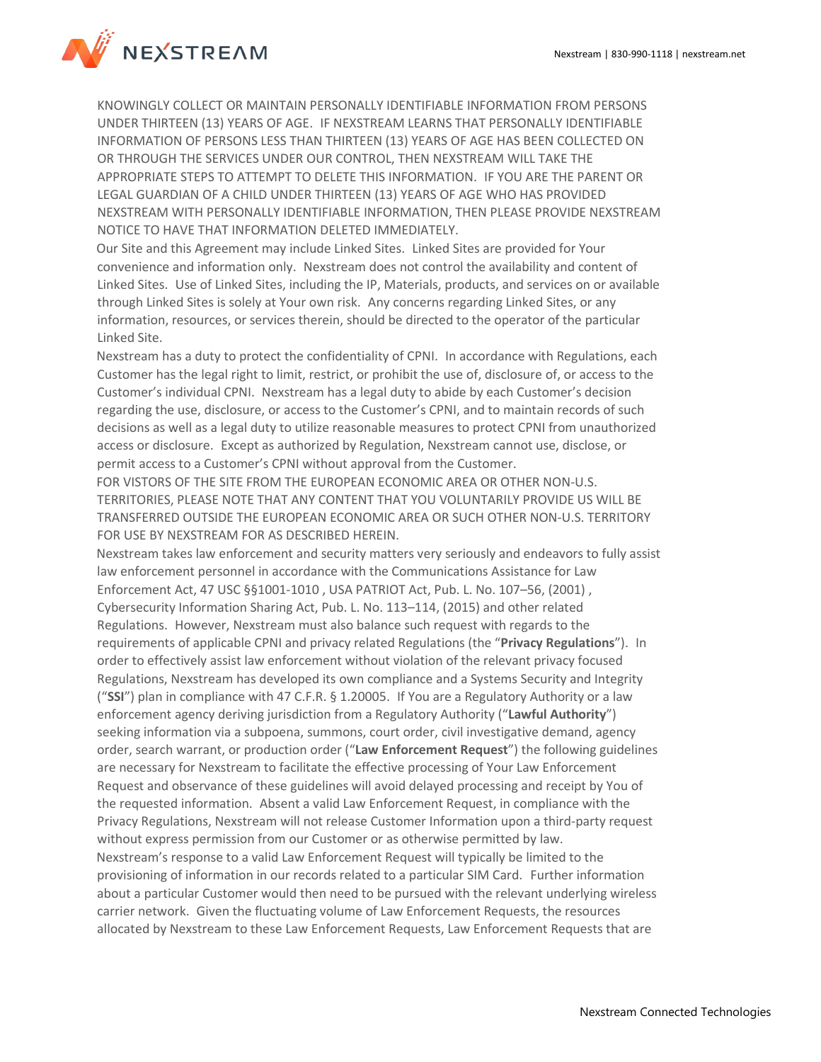

KNOWINGLY COLLECT OR MAINTAIN PERSONALLY IDENTIFIABLE INFORMATION FROM PERSONS UNDER THIRTEEN (13) YEARS OF AGE. IF NEXSTREAM LEARNS THAT PERSONALLY IDENTIFIABLE INFORMATION OF PERSONS LESS THAN THIRTEEN (13) YEARS OF AGE HAS BEEN COLLECTED ON OR THROUGH THE SERVICES UNDER OUR CONTROL, THEN NEXSTREAM WILL TAKE THE APPROPRIATE STEPS TO ATTEMPT TO DELETE THIS INFORMATION. IF YOU ARE THE PARENT OR LEGAL GUARDIAN OF A CHILD UNDER THIRTEEN (13) YEARS OF AGE WHO HAS PROVIDED NEXSTREAM WITH PERSONALLY IDENTIFIABLE INFORMATION, THEN PLEASE PROVIDE NEXSTREAM NOTICE TO HAVE THAT INFORMATION DELETED IMMEDIATELY.

Our Site and this Agreement may include Linked Sites. Linked Sites are provided for Your convenience and information only. Nexstream does not control the availability and content of Linked Sites. Use of Linked Sites, including the IP, Materials, products, and services on or available through Linked Sites is solely at Your own risk. Any concerns regarding Linked Sites, or any information, resources, or services therein, should be directed to the operator of the particular Linked Site.

Nexstream has a duty to protect the confidentiality of CPNI. In accordance with Regulations, each Customer has the legal right to limit, restrict, or prohibit the use of, disclosure of, or access to the Customer's individual CPNI. Nexstream has a legal duty to abide by each Customer's decision regarding the use, disclosure, or access to the Customer's CPNI, and to maintain records of such decisions as well as a legal duty to utilize reasonable measures to protect CPNI from unauthorized access or disclosure. Except as authorized by Regulation, Nexstream cannot use, disclose, or permit access to a Customer's CPNI without approval from the Customer.

FOR VISTORS OF THE SITE FROM THE EUROPEAN ECONOMIC AREA OR OTHER NON-U.S. TERRITORIES, PLEASE NOTE THAT ANY CONTENT THAT YOU VOLUNTARILY PROVIDE US WILL BE TRANSFERRED OUTSIDE THE EUROPEAN ECONOMIC AREA OR SUCH OTHER NON-U.S. TERRITORY FOR USE BY NEXSTREAM FOR AS DESCRIBED HEREIN.

Nexstream takes law enforcement and security matters very seriously and endeavors to fully assist law enforcement personnel in accordance with the Communications Assistance for Law Enforcement Act, 47 USC §§1001-1010 , USA PATRIOT Act, Pub. L. No. 107–56, (2001) , Cybersecurity Information Sharing Act, Pub. L. No. 113–114, (2015) and other related Regulations. However, Nexstream must also balance such request with regards to the requirements of applicable CPNI and privacy related Regulations (the "**Privacy Regulations**"). In order to effectively assist law enforcement without violation of the relevant privacy focused Regulations, Nexstream has developed its own compliance and a Systems Security and Integrity ("**SSI**") plan in compliance with 47 C.F.R. § 1.20005. If You are a Regulatory Authority or a law enforcement agency deriving jurisdiction from a Regulatory Authority ("**Lawful Authority**") seeking information via a subpoena, summons, court order, civil investigative demand, agency order, search warrant, or production order ("**Law Enforcement Request**") the following guidelines are necessary for Nexstream to facilitate the effective processing of Your Law Enforcement Request and observance of these guidelines will avoid delayed processing and receipt by You of the requested information. Absent a valid Law Enforcement Request, in compliance with the Privacy Regulations, Nexstream will not release Customer Information upon a third-party request without express permission from our Customer or as otherwise permitted by law. Nexstream's response to a valid Law Enforcement Request will typically be limited to the provisioning of information in our records related to a particular SIM Card. Further information about a particular Customer would then need to be pursued with the relevant underlying wireless carrier network. Given the fluctuating volume of Law Enforcement Requests, the resources allocated by Nexstream to these Law Enforcement Requests, Law Enforcement Requests that are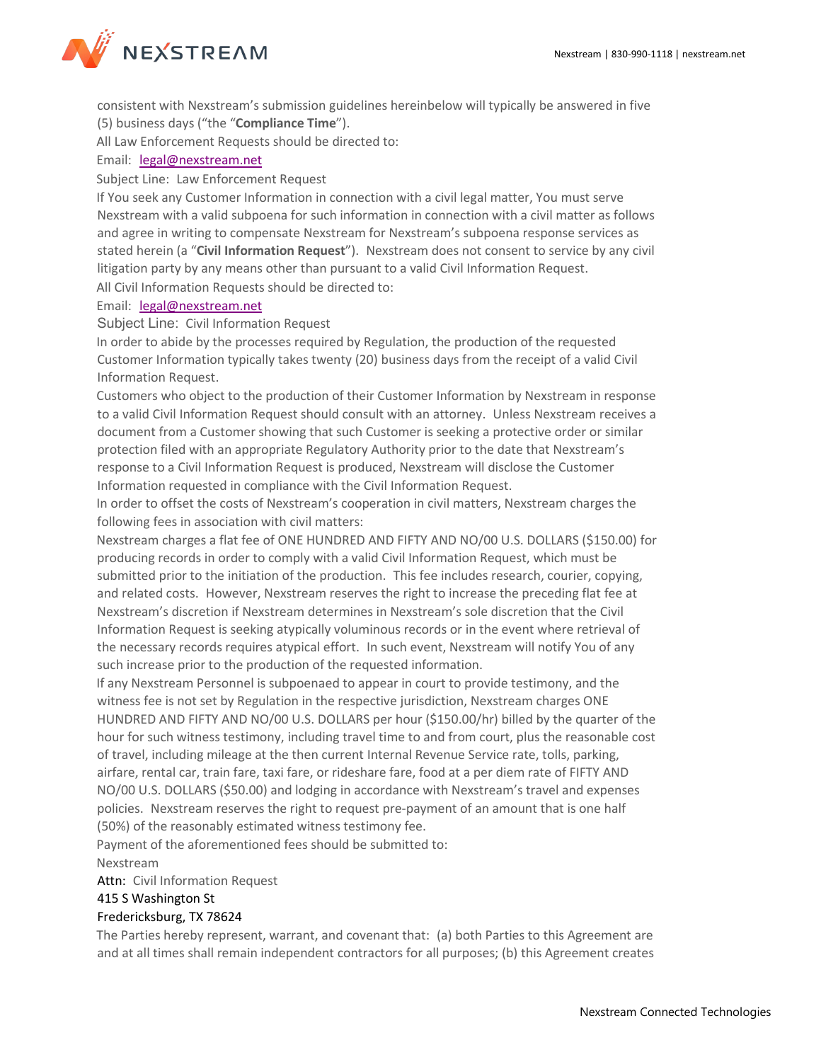

consistent with Nexstream's submission guidelines hereinbelow will typically be answered in five (5) business days ("the "**Compliance Time**").

All Law Enforcement Requests should be directed to:

### Email: [legal@nexstream.net](mailto:legal@nexstream.net)

Subject Line: Law Enforcement Request

If You seek any Customer Information in connection with a civil legal matter, You must serve Nexstream with a valid subpoena for such information in connection with a civil matter as follows and agree in writing to compensate Nexstream for Nexstream's subpoena response services as stated herein (a "**Civil Information Request**"). Nexstream does not consent to service by any civil litigation party by any means other than pursuant to a valid Civil Information Request. All Civil Information Requests should be directed to:

#### Email: [legal@nexstream.net](mailto:legal@nexstream.net)

Subject Line: Civil Information Request

In order to abide by the processes required by Regulation, the production of the requested Customer Information typically takes twenty (20) business days from the receipt of a valid Civil Information Request.

Customers who object to the production of their Customer Information by Nexstream in response to a valid Civil Information Request should consult with an attorney. Unless Nexstream receives a document from a Customer showing that such Customer is seeking a protective order or similar protection filed with an appropriate Regulatory Authority prior to the date that Nexstream's response to a Civil Information Request is produced, Nexstream will disclose the Customer Information requested in compliance with the Civil Information Request.

In order to offset the costs of Nexstream's cooperation in civil matters, Nexstream charges the following fees in association with civil matters:

Nexstream charges a flat fee of ONE HUNDRED AND FIFTY AND NO/00 U.S. DOLLARS (\$150.00) for producing records in order to comply with a valid Civil Information Request, which must be submitted prior to the initiation of the production. This fee includes research, courier, copying, and related costs. However, Nexstream reserves the right to increase the preceding flat fee at Nexstream's discretion if Nexstream determines in Nexstream's sole discretion that the Civil Information Request is seeking atypically voluminous records or in the event where retrieval of the necessary records requires atypical effort. In such event, Nexstream will notify You of any such increase prior to the production of the requested information.

If any Nexstream Personnel is subpoenaed to appear in court to provide testimony, and the witness fee is not set by Regulation in the respective jurisdiction, Nexstream charges ONE HUNDRED AND FIFTY AND NO/00 U.S. DOLLARS per hour (\$150.00/hr) billed by the quarter of the hour for such witness testimony, including travel time to and from court, plus the reasonable cost of travel, including mileage at the then current Internal Revenue Service rate, tolls, parking, airfare, rental car, train fare, taxi fare, or rideshare fare, food at a per diem rate of FIFTY AND NO/00 U.S. DOLLARS (\$50.00) and lodging in accordance with Nexstream's travel and expenses policies. Nexstream reserves the right to request pre-payment of an amount that is one half (50%) of the reasonably estimated witness testimony fee.

Payment of the aforementioned fees should be submitted to:

#### Nexstream

Attn: Civil Information Request

# 415 S Washington St

# Fredericksburg, TX 78624

The Parties hereby represent, warrant, and covenant that: (a) both Parties to this Agreement are and at all times shall remain independent contractors for all purposes; (b) this Agreement creates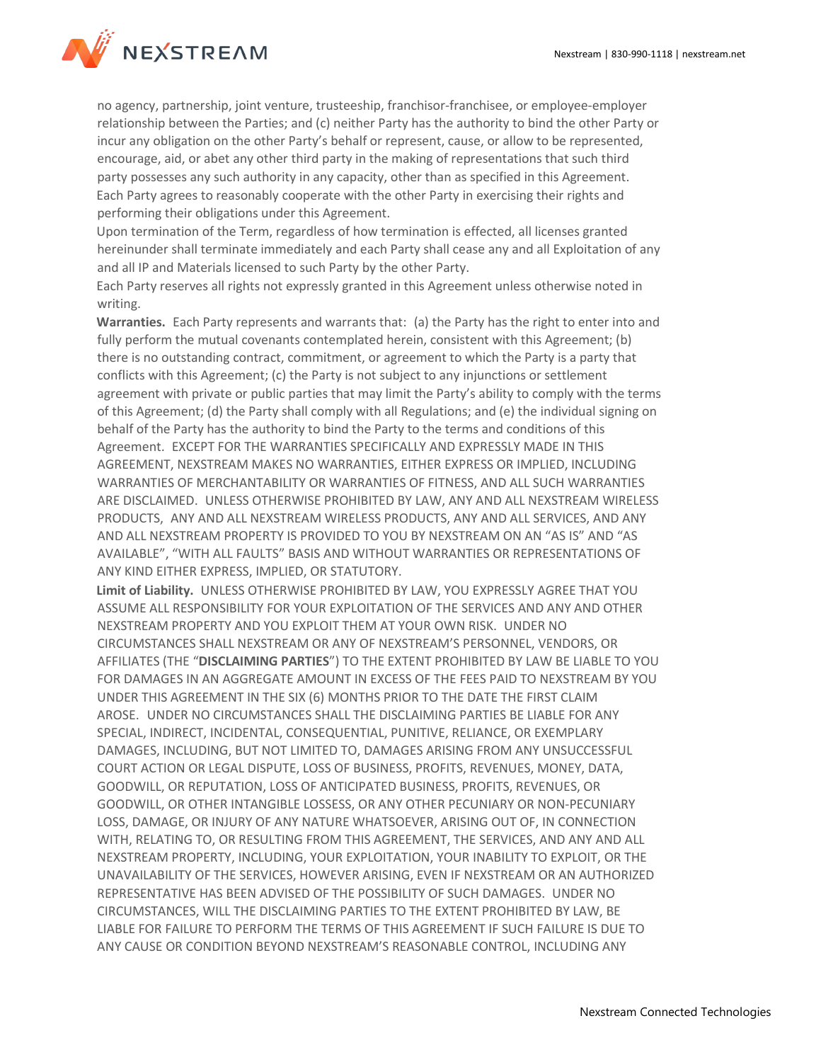

no agency, partnership, joint venture, trusteeship, franchisor-franchisee, or employee-employer relationship between the Parties; and (c) neither Party has the authority to bind the other Party or incur any obligation on the other Party's behalf or represent, cause, or allow to be represented, encourage, aid, or abet any other third party in the making of representations that such third party possesses any such authority in any capacity, other than as specified in this Agreement. Each Party agrees to reasonably cooperate with the other Party in exercising their rights and performing their obligations under this Agreement.

Upon termination of the Term, regardless of how termination is effected, all licenses granted hereinunder shall terminate immediately and each Party shall cease any and all Exploitation of any and all IP and Materials licensed to such Party by the other Party.

Each Party reserves all rights not expressly granted in this Agreement unless otherwise noted in writing.

**Warranties.** Each Party represents and warrants that: (a) the Party has the right to enter into and fully perform the mutual covenants contemplated herein, consistent with this Agreement; (b) there is no outstanding contract, commitment, or agreement to which the Party is a party that conflicts with this Agreement; (c) the Party is not subject to any injunctions or settlement agreement with private or public parties that may limit the Party's ability to comply with the terms of this Agreement; (d) the Party shall comply with all Regulations; and (e) the individual signing on behalf of the Party has the authority to bind the Party to the terms and conditions of this Agreement. EXCEPT FOR THE WARRANTIES SPECIFICALLY AND EXPRESSLY MADE IN THIS AGREEMENT, NEXSTREAM MAKES NO WARRANTIES, EITHER EXPRESS OR IMPLIED, INCLUDING WARRANTIES OF MERCHANTABILITY OR WARRANTIES OF FITNESS, AND ALL SUCH WARRANTIES ARE DISCLAIMED. UNLESS OTHERWISE PROHIBITED BY LAW, ANY AND ALL NEXSTREAM WIRELESS PRODUCTS, ANY AND ALL NEXSTREAM WIRELESS PRODUCTS, ANY AND ALL SERVICES, AND ANY AND ALL NEXSTREAM PROPERTY IS PROVIDED TO YOU BY NEXSTREAM ON AN "AS IS" AND "AS AVAILABLE", "WITH ALL FAULTS" BASIS AND WITHOUT WARRANTIES OR REPRESENTATIONS OF ANY KIND EITHER EXPRESS, IMPLIED, OR STATUTORY.

**Limit of Liability.** UNLESS OTHERWISE PROHIBITED BY LAW, YOU EXPRESSLY AGREE THAT YOU ASSUME ALL RESPONSIBILITY FOR YOUR EXPLOITATION OF THE SERVICES AND ANY AND OTHER NEXSTREAM PROPERTY AND YOU EXPLOIT THEM AT YOUR OWN RISK. UNDER NO CIRCUMSTANCES SHALL NEXSTREAM OR ANY OF NEXSTREAM'S PERSONNEL, VENDORS, OR AFFILIATES (THE "**DISCLAIMING PARTIES**") TO THE EXTENT PROHIBITED BY LAW BE LIABLE TO YOU FOR DAMAGES IN AN AGGREGATE AMOUNT IN EXCESS OF THE FEES PAID TO NEXSTREAM BY YOU UNDER THIS AGREEMENT IN THE SIX (6) MONTHS PRIOR TO THE DATE THE FIRST CLAIM AROSE. UNDER NO CIRCUMSTANCES SHALL THE DISCLAIMING PARTIES BE LIABLE FOR ANY SPECIAL, INDIRECT, INCIDENTAL, CONSEQUENTIAL, PUNITIVE, RELIANCE, OR EXEMPLARY DAMAGES, INCLUDING, BUT NOT LIMITED TO, DAMAGES ARISING FROM ANY UNSUCCESSFUL COURT ACTION OR LEGAL DISPUTE, LOSS OF BUSINESS, PROFITS, REVENUES, MONEY, DATA, GOODWILL, OR REPUTATION, LOSS OF ANTICIPATED BUSINESS, PROFITS, REVENUES, OR GOODWILL, OR OTHER INTANGIBLE LOSSESS, OR ANY OTHER PECUNIARY OR NON-PECUNIARY LOSS, DAMAGE, OR INJURY OF ANY NATURE WHATSOEVER, ARISING OUT OF, IN CONNECTION WITH, RELATING TO, OR RESULTING FROM THIS AGREEMENT, THE SERVICES, AND ANY AND ALL NEXSTREAM PROPERTY, INCLUDING, YOUR EXPLOITATION, YOUR INABILITY TO EXPLOIT, OR THE UNAVAILABILITY OF THE SERVICES, HOWEVER ARISING, EVEN IF NEXSTREAM OR AN AUTHORIZED REPRESENTATIVE HAS BEEN ADVISED OF THE POSSIBILITY OF SUCH DAMAGES. UNDER NO CIRCUMSTANCES, WILL THE DISCLAIMING PARTIES TO THE EXTENT PROHIBITED BY LAW, BE LIABLE FOR FAILURE TO PERFORM THE TERMS OF THIS AGREEMENT IF SUCH FAILURE IS DUE TO ANY CAUSE OR CONDITION BEYOND NEXSTREAM'S REASONABLE CONTROL, INCLUDING ANY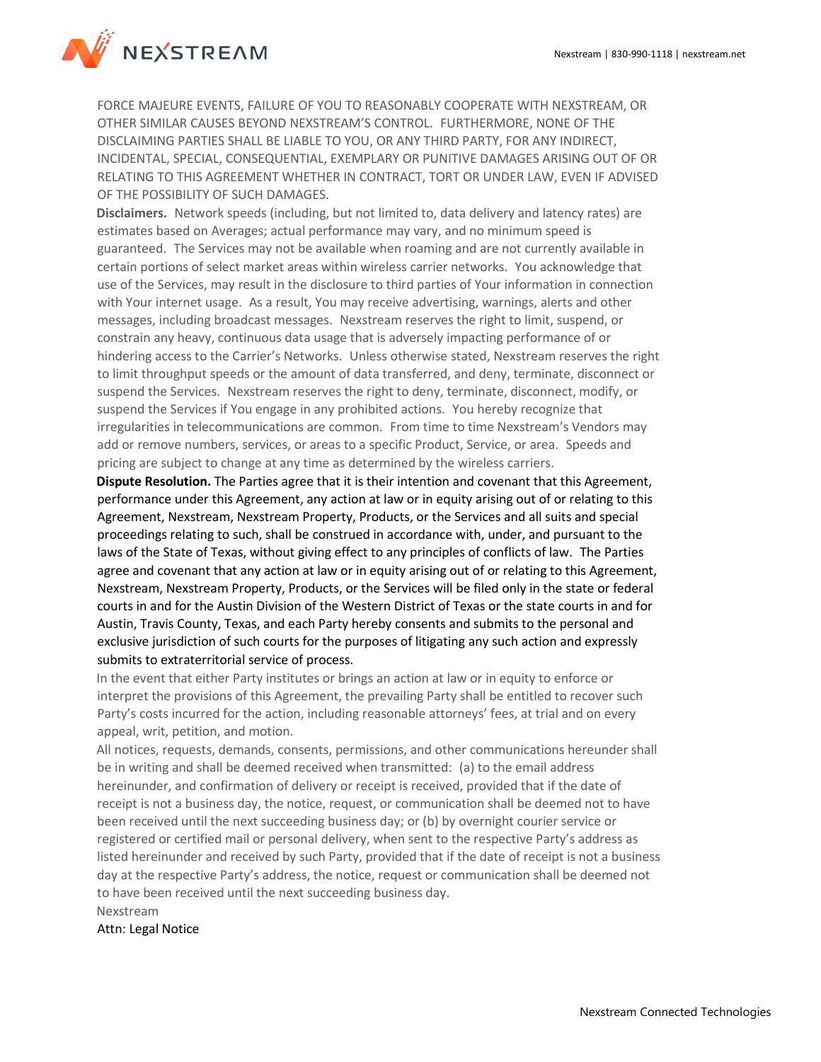

FORCE MAJEURE EVENTS, FAILURE OF YOU TO REASONABLY COOPERATE WITH NEXSTREAM, OR OTHER SIMILAR CAUSES BEYOND NEXSTREAM'S CONTROL. FURTHERMORE, NONE OF THE DISCLAIMING PARTIES SHALL BE LIABLE TO YOU, OR ANY THIRD PARTY, FOR ANY INDIRECT, INCIDENTAL, SPECIAL, CONSEQUENTIAL, EXEMPLARY OR PUNITIVE DAMAGES ARISING OUT OF OR RELATING TO THIS AGREEMENT WHETHER IN CONTRACT, TORT OR UNDER LAW, EVEN IF ADVISED OF THE POSSIBILITY OF SUCH DAMAGES.

**Disclaimers.** Network speeds (including, but not limited to, data delivery and latency rates) are estimates based on Averages; actual performance may vary, and no minimum speed is guaranteed. The Services may not be available when roaming and are not currently available in certain portions of select market areas within wireless carrier networks. You acknowledge that use of the Services, may result in the disclosure to third parties of Your information in connection with Your internet usage. As a result, You may receive advertising, warnings, alerts and other messages, including broadcast messages. Nexstream reserves the right to limit, suspend, or constrain any heavy, continuous data usage that is adversely impacting performance of or hindering access to the Carrier's Networks. Unless otherwise stated, Nexstream reserves the right to limit throughput speeds or the amount of data transferred, and deny, terminate, disconnect or suspend the Services. Nexstream reserves the right to deny, terminate, disconnect, modify, or suspend the Services if You engage in any prohibited actions. You hereby recognize that irregularities in telecommunications are common. From time to time Nexstream's Vendors may add or remove numbers, services, or areas to a specific Product, Service, or area. Speeds and pricing are subject to change at any time as determined by the wireless carriers.

**Dispute Resolution.** The Parties agree that it is their intention and covenant that this Agreement, performance under this Agreement, any action at law or in equity arising out of or relating to this Agreement, Nexstream, Nexstream Property, Products, or the Services and all suits and special proceedings relating to such, shall be construed in accordance with, under, and pursuant to the laws of the State of Texas, without giving effect to any principles of conflicts of law. The Parties agree and covenant that any action at law or in equity arising out of or relating to this Agreement, Nexstream, Nexstream Property, Products, or the Services will be filed only in the state or federal courts in and for the Austin Division of the Western District of Texas or the state courts in and for Austin, Travis County, Texas, and each Party hereby consents and submits to the personal and exclusive jurisdiction of such courts for the purposes of litigating any such action and expressly submits to extraterritorial service of process.

In the event that either Party institutes or brings an action at law or in equity to enforce or interpret the provisions of this Agreement, the prevailing Party shall be entitled to recover such Party's costs incurred for the action, including reasonable attorneys' fees, at trial and on every appeal, writ, petition, and motion.

All notices, requests, demands, consents, permissions, and other communications hereunder shall be in writing and shall be deemed received when transmitted: (a) to the email address hereinunder, and confirmation of delivery or receipt is received, provided that if the date of receipt is not a business day, the notice, request, or communication shall be deemed not to have been received until the next succeeding business day; or (b) by overnight courier service or registered or certified mail or personal delivery, when sent to the respective Party's address as listed hereinunder and received by such Party, provided that if the date of receipt is not a business day at the respective Party's address, the notice, request or communication shall be deemed not to have been received until the next succeeding business day.

Nexstream

Attn: Legal Notice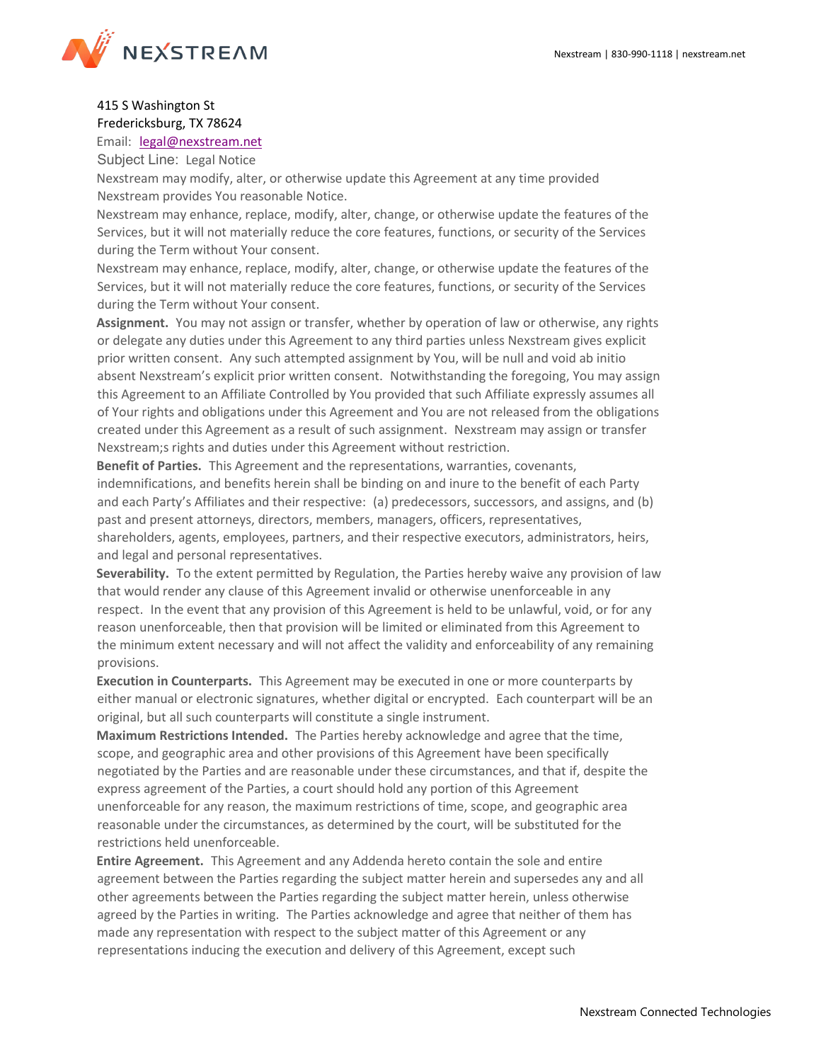

# 415 S Washington St Fredericksburg, TX 78624

Email: [legal@nexstream.net](mailto:legal@nexstream.net)

Subject Line: Legal Notice

Nexstream may modify, alter, or otherwise update this Agreement at any time provided Nexstream provides You reasonable Notice.

Nexstream may enhance, replace, modify, alter, change, or otherwise update the features of the Services, but it will not materially reduce the core features, functions, or security of the Services during the Term without Your consent.

Nexstream may enhance, replace, modify, alter, change, or otherwise update the features of the Services, but it will not materially reduce the core features, functions, or security of the Services during the Term without Your consent.

**Assignment.** You may not assign or transfer, whether by operation of law or otherwise, any rights or delegate any duties under this Agreement to any third parties unless Nexstream gives explicit prior written consent. Any such attempted assignment by You, will be null and void ab initio absent Nexstream's explicit prior written consent. Notwithstanding the foregoing, You may assign this Agreement to an Affiliate Controlled by You provided that such Affiliate expressly assumes all of Your rights and obligations under this Agreement and You are not released from the obligations created under this Agreement as a result of such assignment. Nexstream may assign or transfer Nexstream;s rights and duties under this Agreement without restriction.

**Benefit of Parties.** This Agreement and the representations, warranties, covenants, indemnifications, and benefits herein shall be binding on and inure to the benefit of each Party and each Party's Affiliates and their respective: (a) predecessors, successors, and assigns, and (b) past and present attorneys, directors, members, managers, officers, representatives, shareholders, agents, employees, partners, and their respective executors, administrators, heirs, and legal and personal representatives.

**Severability.** To the extent permitted by Regulation, the Parties hereby waive any provision of law that would render any clause of this Agreement invalid or otherwise unenforceable in any respect. In the event that any provision of this Agreement is held to be unlawful, void, or for any reason unenforceable, then that provision will be limited or eliminated from this Agreement to the minimum extent necessary and will not affect the validity and enforceability of any remaining provisions.

**Execution in Counterparts.** This Agreement may be executed in one or more counterparts by either manual or electronic signatures, whether digital or encrypted. Each counterpart will be an original, but all such counterparts will constitute a single instrument.

**Maximum Restrictions Intended.** The Parties hereby acknowledge and agree that the time, scope, and geographic area and other provisions of this Agreement have been specifically negotiated by the Parties and are reasonable under these circumstances, and that if, despite the express agreement of the Parties, a court should hold any portion of this Agreement unenforceable for any reason, the maximum restrictions of time, scope, and geographic area reasonable under the circumstances, as determined by the court, will be substituted for the restrictions held unenforceable.

**Entire Agreement.** This Agreement and any Addenda hereto contain the sole and entire agreement between the Parties regarding the subject matter herein and supersedes any and all other agreements between the Parties regarding the subject matter herein, unless otherwise agreed by the Parties in writing. The Parties acknowledge and agree that neither of them has made any representation with respect to the subject matter of this Agreement or any representations inducing the execution and delivery of this Agreement, except such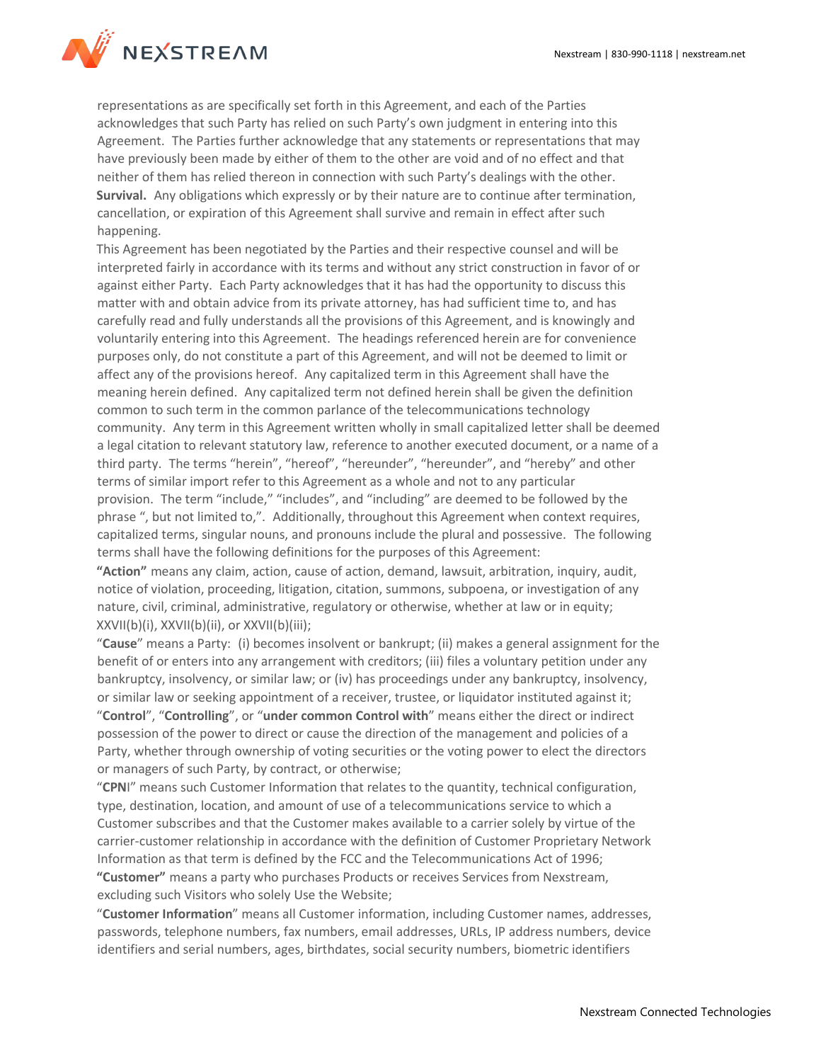

representations as are specifically set forth in this Agreement, and each of the Parties acknowledges that such Party has relied on such Party's own judgment in entering into this Agreement. The Parties further acknowledge that any statements or representations that may have previously been made by either of them to the other are void and of no effect and that neither of them has relied thereon in connection with such Party's dealings with the other. **Survival.** Any obligations which expressly or by their nature are to continue after termination, cancellation, or expiration of this Agreement shall survive and remain in effect after such happening.

This Agreement has been negotiated by the Parties and their respective counsel and will be interpreted fairly in accordance with its terms and without any strict construction in favor of or against either Party. Each Party acknowledges that it has had the opportunity to discuss this matter with and obtain advice from its private attorney, has had sufficient time to, and has carefully read and fully understands all the provisions of this Agreement, and is knowingly and voluntarily entering into this Agreement. The headings referenced herein are for convenience purposes only, do not constitute a part of this Agreement, and will not be deemed to limit or affect any of the provisions hereof. Any capitalized term in this Agreement shall have the meaning herein defined. Any capitalized term not defined herein shall be given the definition common to such term in the common parlance of the telecommunications technology community. Any term in this Agreement written wholly in small capitalized letter shall be deemed a legal citation to relevant statutory law, reference to another executed document, or a name of a third party. The terms "herein", "hereof", "hereunder", "hereunder", and "hereby" and other terms of similar import refer to this Agreement as a whole and not to any particular provision. The term "include," "includes", and "including" are deemed to be followed by the phrase ", but not limited to,". Additionally, throughout this Agreement when context requires, capitalized terms, singular nouns, and pronouns include the plural and possessive. The following terms shall have the following definitions for the purposes of this Agreement:

**"Action"** means any claim, action, cause of action, demand, lawsuit, arbitration, inquiry, audit, notice of violation, proceeding, litigation, citation, summons, subpoena, or investigation of any nature, civil, criminal, administrative, regulatory or otherwise, whether at law or in equity; XXVII(b)(i), XXVII(b)(ii), or XXVII(b)(iii);

"**Cause**" means a Party: (i) becomes insolvent or bankrupt; (ii) makes a general assignment for the benefit of or enters into any arrangement with creditors; (iii) files a voluntary petition under any bankruptcy, insolvency, or similar law; or (iv) has proceedings under any bankruptcy, insolvency, or similar law or seeking appointment of a receiver, trustee, or liquidator instituted against it; "**Control**", "**Controlling**", or "**under common Control with**" means either the direct or indirect possession of the power to direct or cause the direction of the management and policies of a Party, whether through ownership of voting securities or the voting power to elect the directors or managers of such Party, by contract, or otherwise;

"**CPN**I" means such Customer Information that relates to the quantity, technical configuration, type, destination, location, and amount of use of a telecommunications service to which a Customer subscribes and that the Customer makes available to a carrier solely by virtue of the carrier-customer relationship in accordance with the definition of Customer Proprietary Network Information as that term is defined by the FCC and the Telecommunications Act of 1996; **"Customer"** means a party who purchases Products or receives Services from Nexstream, excluding such Visitors who solely Use the Website;

"**Customer Information**" means all Customer information, including Customer names, addresses, passwords, telephone numbers, fax numbers, email addresses, URLs, IP address numbers, device identifiers and serial numbers, ages, birthdates, social security numbers, biometric identifiers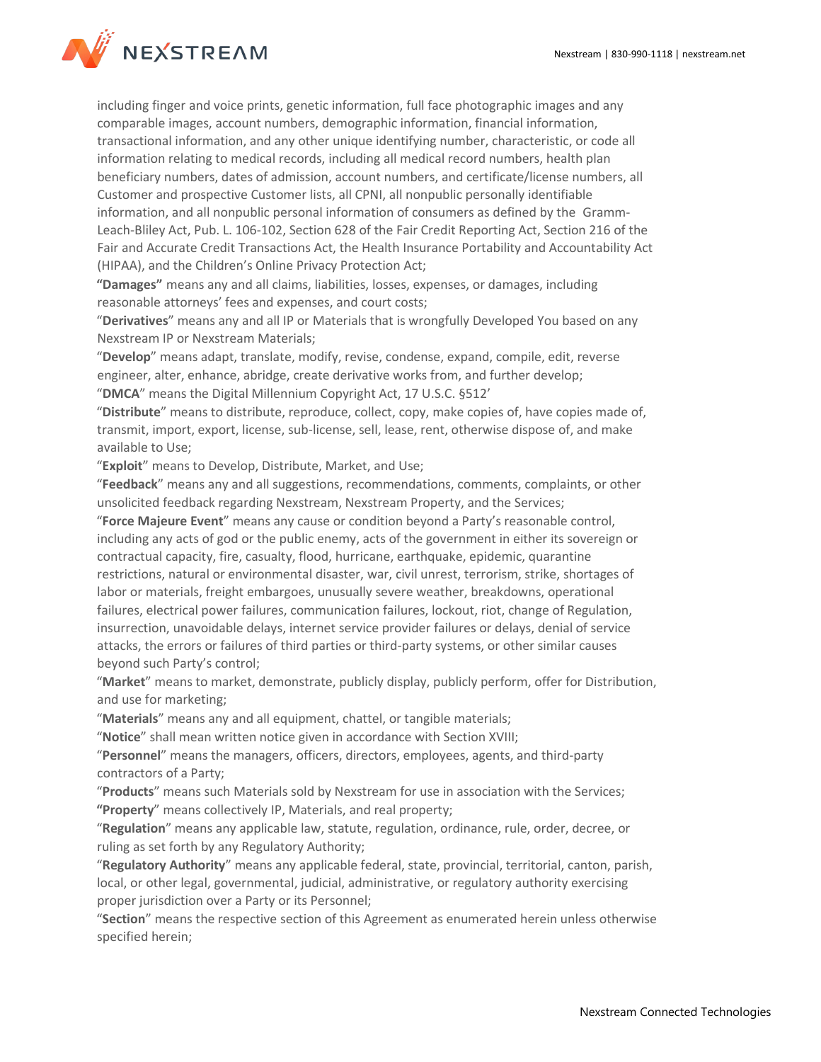

including finger and voice prints, genetic information, full face photographic images and any comparable images, account numbers, demographic information, financial information, transactional information, and any other unique identifying number, characteristic, or code all information relating to medical records, including all medical record numbers, health plan beneficiary numbers, dates of admission, account numbers, and certificate/license numbers, all Customer and prospective Customer lists, all CPNI, all nonpublic personally identifiable information, and all nonpublic personal information of consumers as defined by the Gramm-Leach-Bliley Act, Pub. L. 106-102, Section 628 of the Fair Credit Reporting Act, Section 216 of the Fair and Accurate Credit Transactions Act, the Health Insurance Portability and Accountability Act (HIPAA), and the Children's Online Privacy Protection Act;

**"Damages"** means any and all claims, liabilities, losses, expenses, or damages, including reasonable attorneys' fees and expenses, and court costs;

"**Derivatives**" means any and all IP or Materials that is wrongfully Developed You based on any Nexstream IP or Nexstream Materials;

"**Develop**" means adapt, translate, modify, revise, condense, expand, compile, edit, reverse engineer, alter, enhance, abridge, create derivative works from, and further develop; "**DMCA**" means the Digital Millennium Copyright Act, 17 U.S.C. §512'

"**Distribute**" means to distribute, reproduce, collect, copy, make copies of, have copies made of, transmit, import, export, license, sub-license, sell, lease, rent, otherwise dispose of, and make available to Use;

"**Exploit**" means to Develop, Distribute, Market, and Use;

"**Feedback**" means any and all suggestions, recommendations, comments, complaints, or other unsolicited feedback regarding Nexstream, Nexstream Property, and the Services;

"**Force Majeure Event**" means any cause or condition beyond a Party's reasonable control, including any acts of god or the public enemy, acts of the government in either its sovereign or contractual capacity, fire, casualty, flood, hurricane, earthquake, epidemic, quarantine restrictions, natural or environmental disaster, war, civil unrest, terrorism, strike, shortages of labor or materials, freight embargoes, unusually severe weather, breakdowns, operational failures, electrical power failures, communication failures, lockout, riot, change of Regulation, insurrection, unavoidable delays, internet service provider failures or delays, denial of service attacks, the errors or failures of third parties or third-party systems, or other similar causes beyond such Party's control;

"**Market**" means to market, demonstrate, publicly display, publicly perform, offer for Distribution, and use for marketing;

"**Materials**" means any and all equipment, chattel, or tangible materials;

"**Notice**" shall mean written notice given in accordance with Section XVIII;

"**Personnel**" means the managers, officers, directors, employees, agents, and third-party contractors of a Party;

"**Products**" means such Materials sold by Nexstream for use in association with the Services; **"Property**" means collectively IP, Materials, and real property;

"**Regulation**" means any applicable law, statute, regulation, ordinance, rule, order, decree, or ruling as set forth by any Regulatory Authority;

"**Regulatory Authority**" means any applicable federal, state, provincial, territorial, canton, parish, local, or other legal, governmental, judicial, administrative, or regulatory authority exercising proper jurisdiction over a Party or its Personnel;

"**Section**" means the respective section of this Agreement as enumerated herein unless otherwise specified herein;